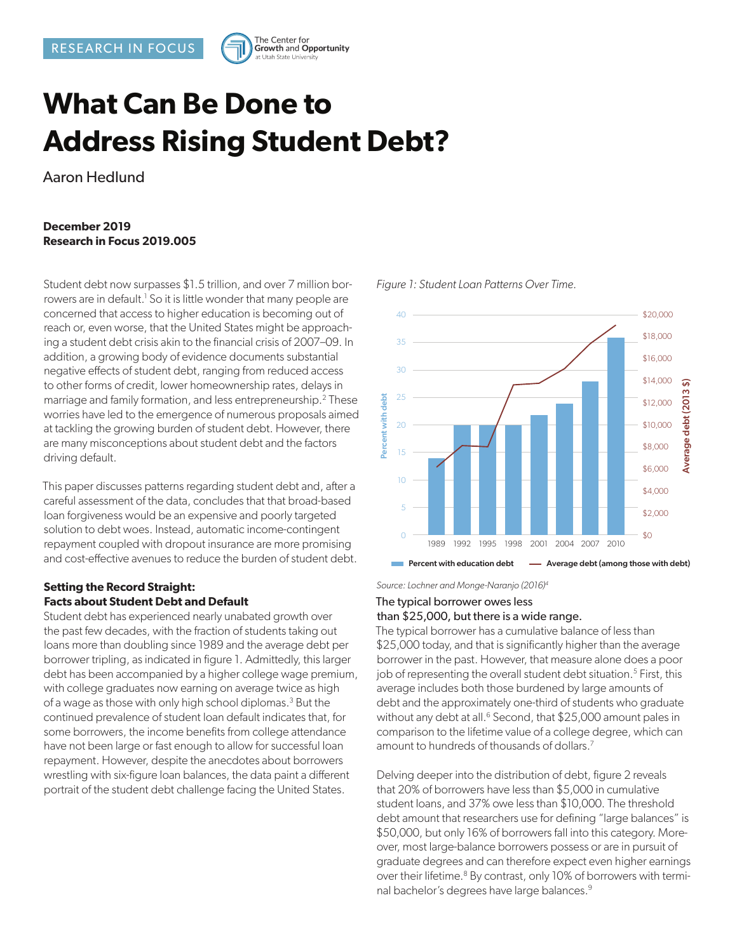

# **What Can Be Done to Address Rising Student Debt?**

Aaron Hedlund

# **December 2019 Research in Focus 2019.005**

Student debt now surpasses \$1.5 trillion, and over 7 million borrowers are in default.<sup>1</sup> So it is little wonder that many people are concerned that access to higher education is becoming out of reach or, even worse, that the United States might be approaching a student debt crisis akin to the financial crisis of 2007–09. In addition, a growing body of evidence documents substantial negative effects of student debt, ranging from reduced access to other forms of credit, lower homeownership rates, delays in marriage and family formation, and less entrepreneurship.<sup>2</sup> These worries have led to the emergence of numerous proposals aimed at tackling the growing burden of student debt. However, there are many misconceptions about student debt and the factors driving default.

This paper discusses patterns regarding student debt and, after a careful assessment of the data, concludes that that broad-based loan forgiveness would be an expensive and poorly targeted solution to debt woes. Instead, automatic income-contingent repayment coupled with dropout insurance are more promising and cost-effective avenues to reduce the burden of student debt.

#### **Setting the Record Straight: Facts about Student Debt and Default**

Student debt has experienced nearly unabated growth over the past few decades, with the fraction of students taking out loans more than doubling since 1989 and the average debt per borrower tripling, as indicated in figure 1. Admittedly, this larger debt has been accompanied by a higher college wage premium, with college graduates now earning on average twice as high of a wage as those with only high school diplomas.<sup>3</sup> But the continued prevalence of student loan default indicates that, for some borrowers, the income benefits from college attendance have not been large or fast enough to allow for successful loan repayment. However, despite the anecdotes about borrowers wrestling with six-figure loan balances, the data paint a different portrait of the student debt challenge facing the United States.



#### *Figure 1: Student Loan Patterns Over Time.*

*Source: Lochner and Monge-Naranjo (2016)4*

# The typical borrower owes less than \$25,000, but there is a wide range.

The typical borrower has a cumulative balance of less than \$25,000 today, and that is significantly higher than the average borrower in the past. However, that measure alone does a poor job of representing the overall student debt situation.<sup>5</sup> First, this average includes both those burdened by large amounts of debt and the approximately one-third of students who graduate without any debt at all.<sup>6</sup> Second, that \$25,000 amount pales in comparison to the lifetime value of a college degree, which can amount to hundreds of thousands of dollars.<sup>7</sup>

Delving deeper into the distribution of debt, figure 2 reveals that 20% of borrowers have less than \$5,000 in cumulative student loans, and 37% owe less than \$10,000. The threshold debt amount that researchers use for defining "large balances" is \$50,000, but only 16% of borrowers fall into this category. Moreover, most large-balance borrowers possess or are in pursuit of graduate degrees and can therefore expect even higher earnings over their lifetime.<sup>8</sup> By contrast, only 10% of borrowers with terminal bachelor's degrees have large balances.<sup>9</sup>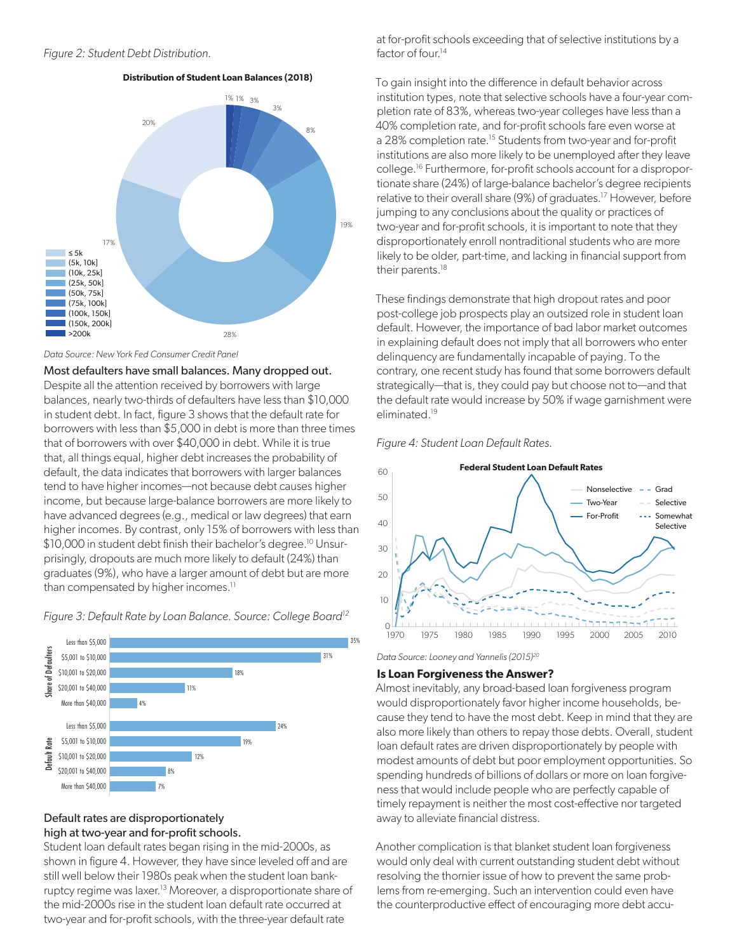#### *Figure 2: Student Debt Distribution.*

#### **Distribution of Student Loan Balances (2018)**



*Data Source: New York Fed Consumer Credit Panel*

Most defaulters have small balances. Many dropped out. Despite all the attention received by borrowers with large balances, nearly two-thirds of defaulters have less than \$10,000 in student debt. In fact, figure 3 shows that the default rate for borrowers with less than \$5,000 in debt is more than three times that of borrowers with over \$40,000 in debt. While it is true that, all things equal, higher debt increases the probability of default, the data indicates that borrowers with larger balances tend to have higher incomes—not because debt causes higher income, but because large-balance borrowers are more likely to have advanced degrees (e.g., medical or law degrees) that earn higher incomes. By contrast, only 15% of borrowers with less than \$10,000 in student debt finish their bachelor's degree.<sup>10</sup> Unsurprisingly, dropouts are much more likely to default (24%) than graduates (9%), who have a larger amount of debt but are more than compensated by higher incomes.<sup>11</sup>

*Figure 3: Default Rate by Loan Balance. Source: College Board12*



#### Default rates are disproportionately high at two-year and for-profit schools.

Student loan default rates began rising in the mid-2000s, as shown in figure 4. However, they have since leveled off and are still well below their 1980s peak when the student loan bankruptcy regime was laxer.<sup>13</sup> Moreover, a disproportionate share of the mid-2000s rise in the student loan default rate occurred at two-year and for-profit schools, with the three-year default rate

at for-profit schools exceeding that of selective institutions by a factor of four.<sup>14</sup>

To gain insight into the difference in default behavior across institution types, note that selective schools have a four-year completion rate of 83%, whereas two-year colleges have less than a 40% completion rate, and for-profit schools fare even worse at a 28% completion rate.<sup>15</sup> Students from two-year and for-profit institutions are also more likely to be unemployed after they leave college.16 Furthermore, for-profit schools account for a disproportionate share (24%) of large-balance bachelor's degree recipients relative to their overall share (9%) of graduates.<sup>17</sup> However, before jumping to any conclusions about the quality or practices of two-year and for-profit schools, it is important to note that they disproportionately enroll nontraditional students who are more likely to be older, part-time, and lacking in financial support from their parents.<sup>18</sup>

These findings demonstrate that high dropout rates and poor post-college job prospects play an outsized role in student loan default. However, the importance of bad labor market outcomes in explaining default does not imply that all borrowers who enter delinquency are fundamentally incapable of paying. To the contrary, one recent study has found that some borrowers default strategically—that is, they could pay but choose not to—and that the default rate would increase by 50% if wage garnishment were eliminated.19





*Data Source: Looney and Yannelis (2015)20*

#### **Is Loan Forgiveness the Answer?**

Almost inevitably, any broad-based loan forgiveness program would disproportionately favor higher income households, because they tend to have the most debt. Keep in mind that they are also more likely than others to repay those debts. Overall, student loan default rates are driven disproportionately by people with modest amounts of debt but poor employment opportunities. So spending hundreds of billions of dollars or more on loan forgiveness that would include people who are perfectly capable of timely repayment is neither the most cost-effective nor targeted away to alleviate financial distress.

Another complication is that blanket student loan forgiveness would only deal with current outstanding student debt without resolving the thornier issue of how to prevent the same problems from re-emerging. Such an intervention could even have the counterproductive effect of encouraging more debt accu-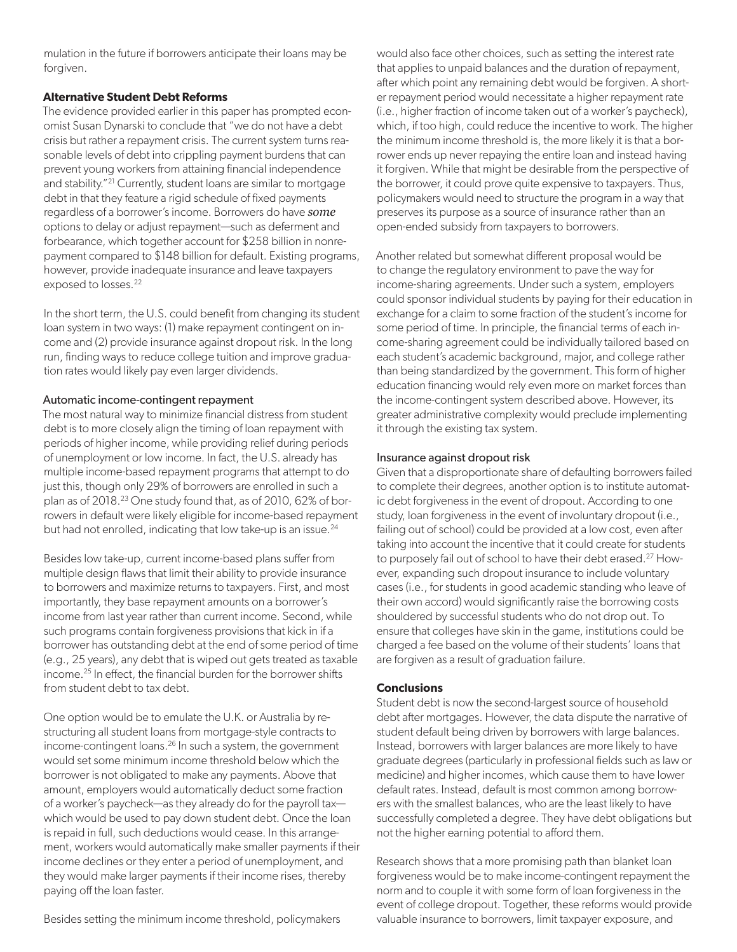mulation in the future if borrowers anticipate their loans may be forgiven.

## **Alternative Student Debt Reforms**

The evidence provided earlier in this paper has prompted economist Susan Dynarski to conclude that "we do not have a debt crisis but rather a repayment crisis. The current system turns reasonable levels of debt into crippling payment burdens that can prevent young workers from attaining financial independence and stability."<sup>21</sup> Currently, student loans are similar to mortgage debt in that they feature a rigid schedule of fixed payments regardless of a borrower's income. Borrowers do have *some* options to delay or adjust repayment—such as deferment and forbearance, which together account for \$258 billion in nonrepayment compared to \$148 billion for default. Existing programs, however, provide inadequate insurance and leave taxpayers exposed to losses.<sup>22</sup>

In the short term, the U.S. could benefit from changing its student loan system in two ways: (1) make repayment contingent on income and (2) provide insurance against dropout risk. In the long run, finding ways to reduce college tuition and improve graduation rates would likely pay even larger dividends.

#### Automatic income-contingent repayment

The most natural way to minimize financial distress from student debt is to more closely align the timing of loan repayment with periods of higher income, while providing relief during periods of unemployment or low income. In fact, the U.S. already has multiple income-based repayment programs that attempt to do just this, though only 29% of borrowers are enrolled in such a plan as of 2018.23 One study found that, as of 2010, 62% of borrowers in default were likely eligible for income-based repayment but had not enrolled, indicating that low take-up is an issue.<sup>24</sup>

Besides low take-up, current income-based plans suffer from multiple design flaws that limit their ability to provide insurance to borrowers and maximize returns to taxpayers. First, and most importantly, they base repayment amounts on a borrower's income from last year rather than current income. Second, while such programs contain forgiveness provisions that kick in if a borrower has outstanding debt at the end of some period of time (e.g., 25 years), any debt that is wiped out gets treated as taxable income.25 In effect, the financial burden for the borrower shifts from student debt to tax debt.

One option would be to emulate the U.K. or Australia by restructuring all student loans from mortgage-style contracts to income-contingent loans.<sup>26</sup> In such a system, the government would set some minimum income threshold below which the borrower is not obligated to make any payments. Above that amount, employers would automatically deduct some fraction of a worker's paycheck—as they already do for the payroll tax which would be used to pay down student debt. Once the loan is repaid in full, such deductions would cease. In this arrangement, workers would automatically make smaller payments if their income declines or they enter a period of unemployment, and they would make larger payments if their income rises, thereby paying off the loan faster.

Besides setting the minimum income threshold, policymakers

would also face other choices, such as setting the interest rate that applies to unpaid balances and the duration of repayment, after which point any remaining debt would be forgiven. A shorter repayment period would necessitate a higher repayment rate (i.e., higher fraction of income taken out of a worker's paycheck), which, if too high, could reduce the incentive to work. The higher the minimum income threshold is, the more likely it is that a borrower ends up never repaying the entire loan and instead having it forgiven. While that might be desirable from the perspective of the borrower, it could prove quite expensive to taxpayers. Thus, policymakers would need to structure the program in a way that preserves its purpose as a source of insurance rather than an open-ended subsidy from taxpayers to borrowers.

Another related but somewhat different proposal would be to change the regulatory environment to pave the way for income-sharing agreements. Under such a system, employers could sponsor individual students by paying for their education in exchange for a claim to some fraction of the student's income for some period of time. In principle, the financial terms of each income-sharing agreement could be individually tailored based on each student's academic background, major, and college rather than being standardized by the government. This form of higher education financing would rely even more on market forces than the income-contingent system described above. However, its greater administrative complexity would preclude implementing it through the existing tax system.

### Insurance against dropout risk

Given that a disproportionate share of defaulting borrowers failed to complete their degrees, another option is to institute automatic debt forgiveness in the event of dropout. According to one study, loan forgiveness in the event of involuntary dropout (i.e., failing out of school) could be provided at a low cost, even after taking into account the incentive that it could create for students to purposely fail out of school to have their debt erased.27 However, expanding such dropout insurance to include voluntary cases (i.e., for students in good academic standing who leave of their own accord) would significantly raise the borrowing costs shouldered by successful students who do not drop out. To ensure that colleges have skin in the game, institutions could be charged a fee based on the volume of their students' loans that are forgiven as a result of graduation failure.

#### **Conclusions**

Student debt is now the second-largest source of household debt after mortgages. However, the data dispute the narrative of student default being driven by borrowers with large balances. Instead, borrowers with larger balances are more likely to have graduate degrees (particularly in professional fields such as law or medicine) and higher incomes, which cause them to have lower default rates. Instead, default is most common among borrowers with the smallest balances, who are the least likely to have successfully completed a degree. They have debt obligations but not the higher earning potential to afford them.

Research shows that a more promising path than blanket loan forgiveness would be to make income-contingent repayment the norm and to couple it with some form of loan forgiveness in the event of college dropout. Together, these reforms would provide valuable insurance to borrowers, limit taxpayer exposure, and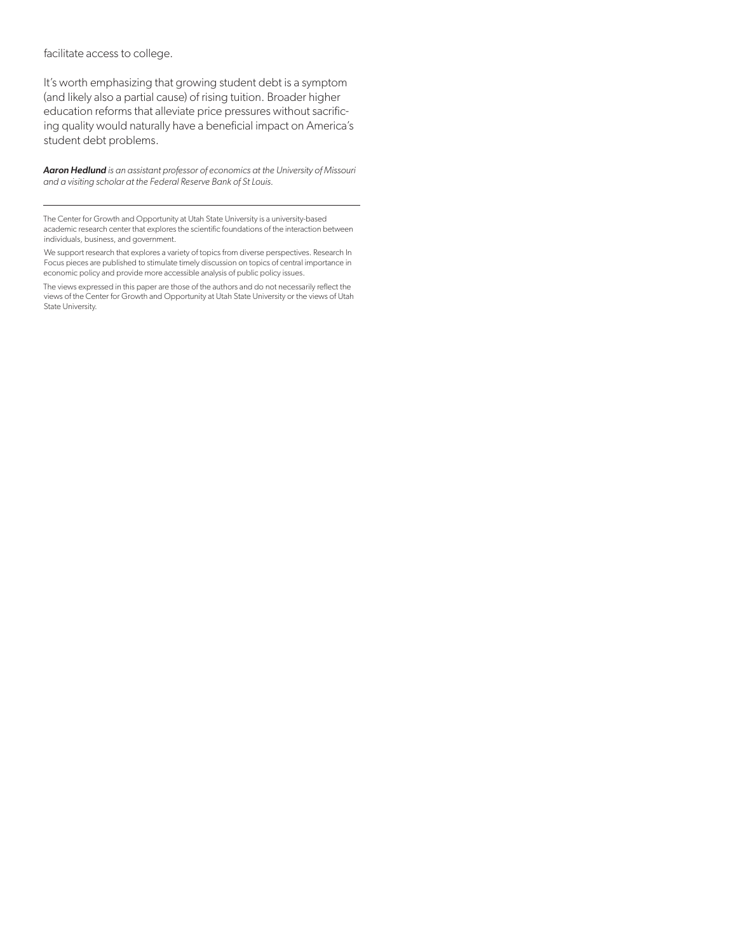facilitate access to college.

It's worth emphasizing that growing student debt is a symptom (and likely also a partial cause) of rising tuition. Broader higher education reforms that alleviate price pressures without sacrificing quality would naturally have a beneficial impact on America's student debt problems.

*Aaron Hedlund is an assistant professor of economics at the University of Missouri and a visiting scholar at the Federal Reserve Bank of St Louis.*

The Center for Growth and Opportunity at Utah State University is a university-based academic research center that explores the scientific foundations of the interaction between individuals, business, and government.

We support research that explores a variety of topics from diverse perspectives. Research In Focus pieces are published to stimulate timely discussion on topics of central importance in economic policy and provide more accessible analysis of public policy issues.

The views expressed in this paper are those of the authors and do not necessarily reflect the views of the Center for Growth and Opportunity at Utah State University or the views of Utah State University.